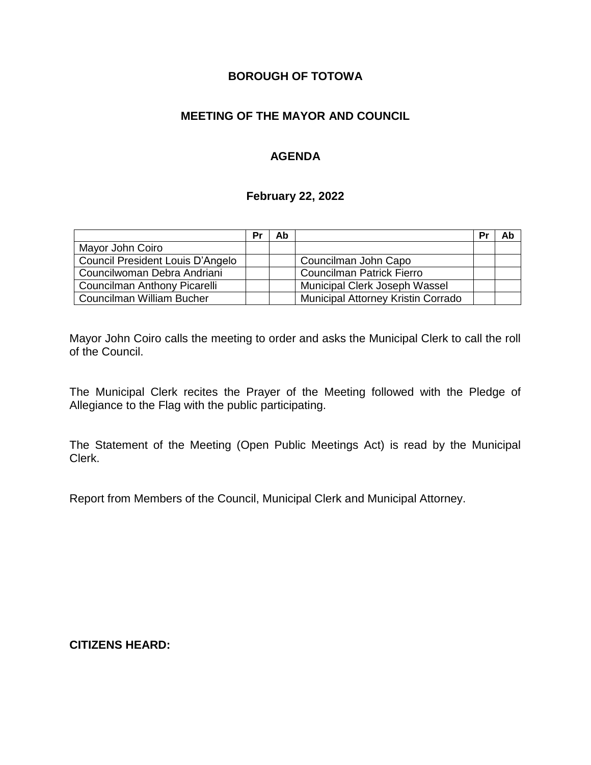# **BOROUGH OF TOTOWA**

# **MEETING OF THE MAYOR AND COUNCIL**

# **AGENDA**

#### **February 22, 2022**

|                                  | Pr | Ab |                                    | Pr | Ab |
|----------------------------------|----|----|------------------------------------|----|----|
| Mayor John Coiro                 |    |    |                                    |    |    |
| Council President Louis D'Angelo |    |    | Councilman John Capo               |    |    |
| Councilwoman Debra Andriani      |    |    | <b>Councilman Patrick Fierro</b>   |    |    |
| Councilman Anthony Picarelli     |    |    | Municipal Clerk Joseph Wassel      |    |    |
| Councilman William Bucher        |    |    | Municipal Attorney Kristin Corrado |    |    |

Mayor John Coiro calls the meeting to order and asks the Municipal Clerk to call the roll of the Council.

The Municipal Clerk recites the Prayer of the Meeting followed with the Pledge of Allegiance to the Flag with the public participating.

The Statement of the Meeting (Open Public Meetings Act) is read by the Municipal Clerk.

Report from Members of the Council, Municipal Clerk and Municipal Attorney.

**CITIZENS HEARD:**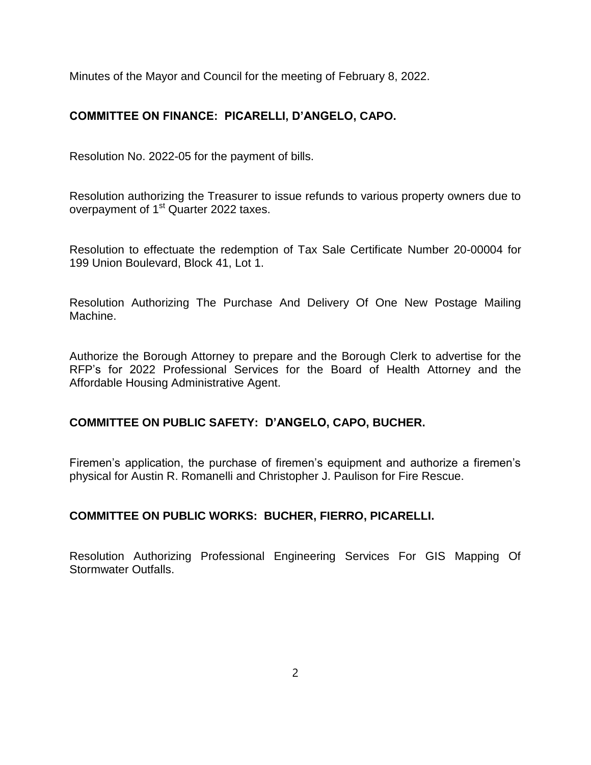Minutes of the Mayor and Council for the meeting of February 8, 2022.

# **COMMITTEE ON FINANCE: PICARELLI, D'ANGELO, CAPO.**

Resolution No. 2022-05 for the payment of bills.

Resolution authorizing the Treasurer to issue refunds to various property owners due to overpayment of 1<sup>st</sup> Quarter 2022 taxes.

Resolution to effectuate the redemption of Tax Sale Certificate Number 20-00004 for 199 Union Boulevard, Block 41, Lot 1.

Resolution Authorizing The Purchase And Delivery Of One New Postage Mailing Machine.

Authorize the Borough Attorney to prepare and the Borough Clerk to advertise for the RFP's for 2022 Professional Services for the Board of Health Attorney and the Affordable Housing Administrative Agent.

# **COMMITTEE ON PUBLIC SAFETY: D'ANGELO, CAPO, BUCHER.**

Firemen's application, the purchase of firemen's equipment and authorize a firemen's physical for Austin R. Romanelli and Christopher J. Paulison for Fire Rescue.

### **COMMITTEE ON PUBLIC WORKS: BUCHER, FIERRO, PICARELLI.**

Resolution Authorizing Professional Engineering Services For GIS Mapping Of Stormwater Outfalls.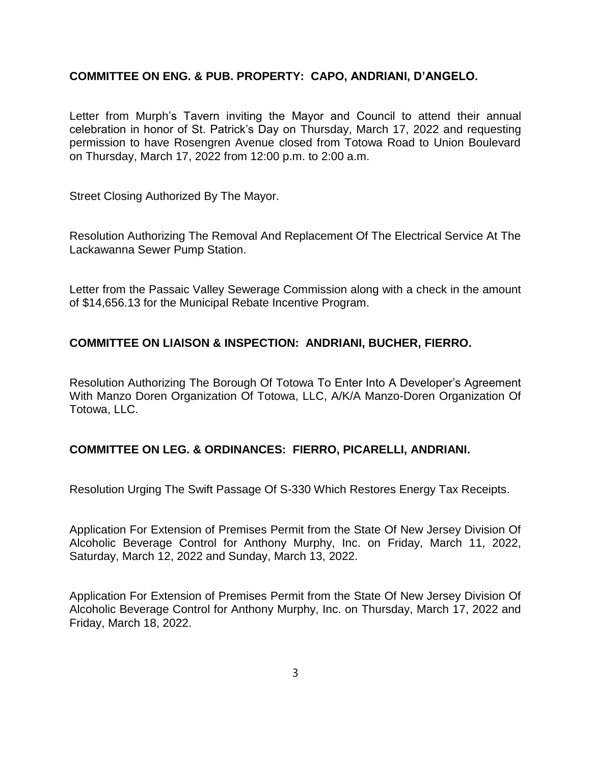### **COMMITTEE ON ENG. & PUB. PROPERTY: CAPO, ANDRIANI, D'ANGELO.**

Letter from Murph's Tavern inviting the Mayor and Council to attend their annual celebration in honor of St. Patrick's Day on Thursday, March 17, 2022 and requesting permission to have Rosengren Avenue closed from Totowa Road to Union Boulevard on Thursday, March 17, 2022 from 12:00 p.m. to 2:00 a.m.

Street Closing Authorized By The Mayor.

Resolution Authorizing The Removal And Replacement Of The Electrical Service At The Lackawanna Sewer Pump Station.

Letter from the Passaic Valley Sewerage Commission along with a check in the amount of \$14,656.13 for the Municipal Rebate Incentive Program.

### **COMMITTEE ON LIAISON & INSPECTION: ANDRIANI, BUCHER, FIERRO.**

Resolution Authorizing The Borough Of Totowa To Enter Into A Developer's Agreement With Manzo Doren Organization Of Totowa, LLC, A/K/A Manzo-Doren Organization Of Totowa, LLC.

#### **COMMITTEE ON LEG. & ORDINANCES: FIERRO, PICARELLI, ANDRIANI.**

Resolution Urging The Swift Passage Of S-330 Which Restores Energy Tax Receipts.

Application For Extension of Premises Permit from the State Of New Jersey Division Of Alcoholic Beverage Control for Anthony Murphy, Inc. on Friday, March 11, 2022, Saturday, March 12, 2022 and Sunday, March 13, 2022.

Application For Extension of Premises Permit from the State Of New Jersey Division Of Alcoholic Beverage Control for Anthony Murphy, Inc. on Thursday, March 17, 2022 and Friday, March 18, 2022.